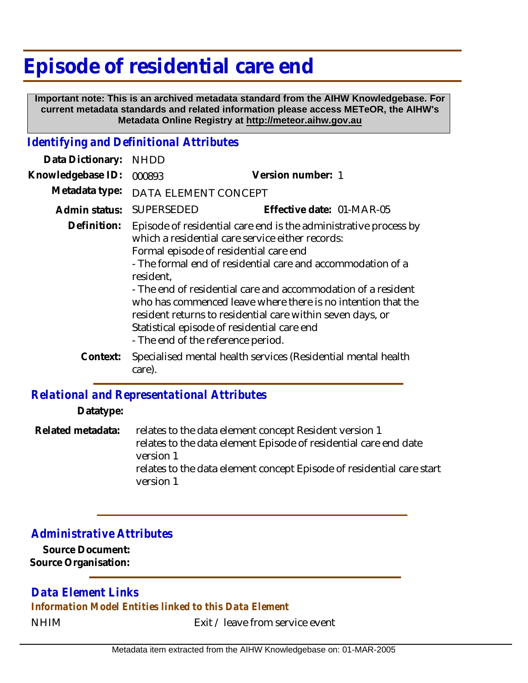# **Episode of residential care end**

 **Important note: This is an archived metadata standard from the AIHW Knowledgebase. For current metadata standards and related information please access METeOR, the AIHW's Metadata Online Registry at http://meteor.aihw.gov.au**

#### *Identifying and Definitional Attributes*

| Data Dictionary:  | <b>NHDD</b>                                     |                                                                                                                                                                                                                                                                                                                                                                                                                                                                             |
|-------------------|-------------------------------------------------|-----------------------------------------------------------------------------------------------------------------------------------------------------------------------------------------------------------------------------------------------------------------------------------------------------------------------------------------------------------------------------------------------------------------------------------------------------------------------------|
| Knowledgebase ID: | 000893                                          | Version number: 1                                                                                                                                                                                                                                                                                                                                                                                                                                                           |
| Metadata type:    | DATA ELEMENT CONCEPT                            |                                                                                                                                                                                                                                                                                                                                                                                                                                                                             |
| Admin status:     | <b>SUPERSEDED</b>                               | Effective date: 01-MAR-05                                                                                                                                                                                                                                                                                                                                                                                                                                                   |
| Definition:       | resident,<br>- The end of the reference period. | Episode of residential care end is the administrative process by<br>which a residential care service either records:<br>Formal episode of residential care end<br>- The formal end of residential care and accommodation of a<br>- The end of residential care and accommodation of a resident<br>who has commenced leave where there is no intention that the<br>resident returns to residential care within seven days, or<br>Statistical episode of residential care end |
| Context:          | care).                                          | Specialised mental health services (Residential mental health                                                                                                                                                                                                                                                                                                                                                                                                               |

#### *Relational and Representational Attributes*

**Datatype:**

relates to the data element concept Resident version 1 relates to the data element Episode of residential care end date version 1 relates to the data element concept Episode of residential care start version 1 **Related metadata:**

### *Administrative Attributes*

**Source Document: Source Organisation:**

## *Data Element Links*

*Information Model Entities linked to this Data Element*

NHIM Exit / leave from service event